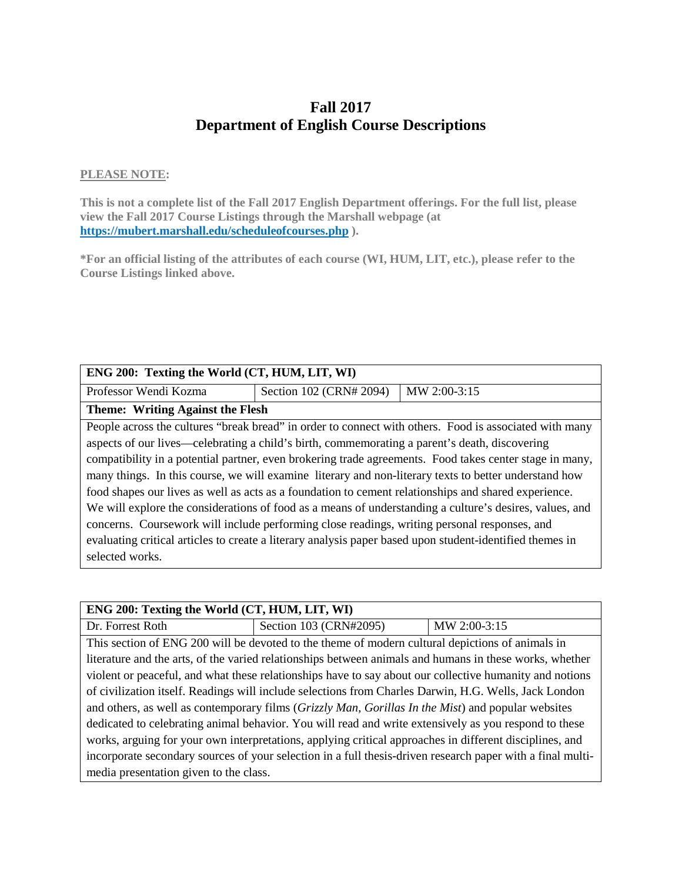# **Fall 2017 Department of English Course Descriptions**

## **PLEASE NOTE:**

**This is not a complete list of the Fall 2017 English Department offerings. For the full list, please view the Fall 2017 Course Listings through the Marshall webpage (at https://mubert.marshall.edu/scheduleofcourses.php ).**

**\*For an official listing of the attributes of each course (WI, HUM, LIT, etc.), please refer to the Course Listings linked above.**

| ENG 200: Texting the World (CT, HUM, LIT, WI)                                                            |                         |                                                                                                        |  |
|----------------------------------------------------------------------------------------------------------|-------------------------|--------------------------------------------------------------------------------------------------------|--|
| Professor Wendi Kozma                                                                                    | Section 102 (CRN# 2094) | MW 2:00-3:15                                                                                           |  |
| Theme: Writing Against the Flesh                                                                         |                         |                                                                                                        |  |
|                                                                                                          |                         | People across the cultures "break bread" in order to connect with others. Food is associated with many |  |
| aspects of our lives—celebrating a child's birth, commemorating a parent's death, discovering            |                         |                                                                                                        |  |
| compatibility in a potential partner, even brokering trade agreements. Food takes center stage in many,  |                         |                                                                                                        |  |
| many things. In this course, we will examine literary and non-literary texts to better understand how    |                         |                                                                                                        |  |
| food shapes our lives as well as acts as a foundation to cement relationships and shared experience.     |                         |                                                                                                        |  |
| We will explore the considerations of food as a means of understanding a culture's desires, values, and  |                         |                                                                                                        |  |
| concerns. Coursework will include performing close readings, writing personal responses, and             |                         |                                                                                                        |  |
| evaluating critical articles to create a literary analysis paper based upon student-identified themes in |                         |                                                                                                        |  |
| selected works.                                                                                          |                         |                                                                                                        |  |
|                                                                                                          |                         |                                                                                                        |  |

| ENG 200: Texting the World (CT, HUM, LIT, WI)                                                         |                                                                                                            |              |
|-------------------------------------------------------------------------------------------------------|------------------------------------------------------------------------------------------------------------|--------------|
| Dr. Forrest Roth                                                                                      | Section 103 (CRN#2095)                                                                                     | MW 2:00-3:15 |
|                                                                                                       | This section of ENG 200 will be devoted to the theme of modern cultural depictions of animals in           |              |
|                                                                                                       | literature and the arts, of the varied relationships between animals and humans in these works, whether    |              |
|                                                                                                       | violent or peaceful, and what these relationships have to say about our collective humanity and notions    |              |
| of civilization itself. Readings will include selections from Charles Darwin, H.G. Wells, Jack London |                                                                                                            |              |
| and others, as well as contemporary films (Grizzly Man, Gorillas In the Mist) and popular websites    |                                                                                                            |              |
|                                                                                                       | dedicated to celebrating animal behavior. You will read and write extensively as you respond to these      |              |
|                                                                                                       | works, arguing for your own interpretations, applying critical approaches in different disciplines, and    |              |
|                                                                                                       | incorporate secondary sources of your selection in a full thesis-driven research paper with a final multi- |              |
| media presentation given to the class.                                                                |                                                                                                            |              |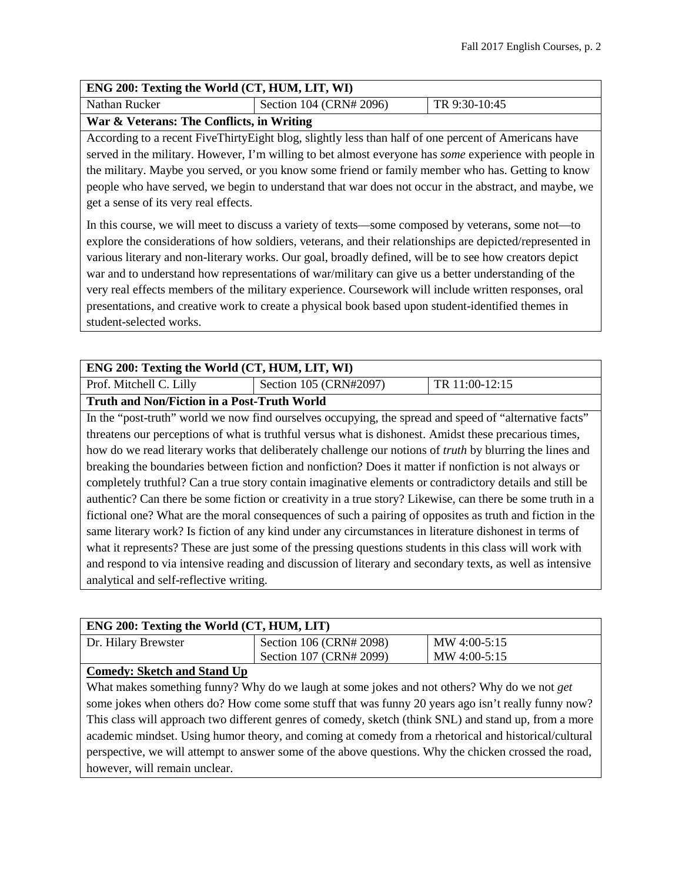#### **ENG 200: Texting the World (CT, HUM, LIT, WI)**

| Nathan Rucker | Section 104 (CRN# 2096) | TR 9:30-10:45 |
|---------------|-------------------------|---------------|
|               |                         |               |

## **War & Veterans: The Conflicts, in Writing**

According to a recent FiveThirtyEight blog, slightly less than half of one percent of Americans have served in the military. However, I'm willing to bet almost everyone has *some* experience with people in the military. Maybe you served, or you know some friend or family member who has. Getting to know people who have served, we begin to understand that war does not occur in the abstract, and maybe, we get a sense of its very real effects.

In this course, we will meet to discuss a variety of texts—some composed by veterans, some not—to explore the considerations of how soldiers, veterans, and their relationships are depicted/represented in various literary and non-literary works. Our goal, broadly defined, will be to see how creators depict war and to understand how representations of war/military can give us a better understanding of the very real effects members of the military experience. Coursework will include written responses, oral presentations, and creative work to create a physical book based upon student-identified themes in student-selected works.

## **ENG 200: Texting the World (CT, HUM, LIT, WI)**

Prof. Mitchell C. Lilly Section 105 (CRN#2097) TR 11:00-12:15

**Truth and Non/Fiction in a Post-Truth World**

In the "post-truth" world we now find ourselves occupying, the spread and speed of "alternative facts" threatens our perceptions of what is truthful versus what is dishonest. Amidst these precarious times, how do we read literary works that deliberately challenge our notions of *truth* by blurring the lines and breaking the boundaries between fiction and nonfiction? Does it matter if nonfiction is not always or completely truthful? Can a true story contain imaginative elements or contradictory details and still be authentic? Can there be some fiction or creativity in a true story? Likewise, can there be some truth in a fictional one? What are the moral consequences of such a pairing of opposites as truth and fiction in the same literary work? Is fiction of any kind under any circumstances in literature dishonest in terms of what it represents? These are just some of the pressing questions students in this class will work with and respond to via intensive reading and discussion of literary and secondary texts, as well as intensive analytical and self-reflective writing.

| ENG 200: Texting the World (CT, HUM, LIT) |                         |              |
|-------------------------------------------|-------------------------|--------------|
| Dr. Hilary Brewster                       | Section 106 (CRN# 2098) | MW 4:00-5:15 |
|                                           | Section 107 (CRN# 2099) | MW 4:00-5:15 |
| $\mathbf{C}$                              |                         |              |

## **Comedy: Sketch and Stand Up**

What makes something funny? Why do we laugh at some jokes and not others? Why do we not *get*  some jokes when others do? How come some stuff that was funny 20 years ago isn't really funny now? This class will approach two different genres of comedy, sketch (think SNL) and stand up, from a more academic mindset. Using humor theory, and coming at comedy from a rhetorical and historical/cultural perspective, we will attempt to answer some of the above questions. Why the chicken crossed the road, however, will remain unclear.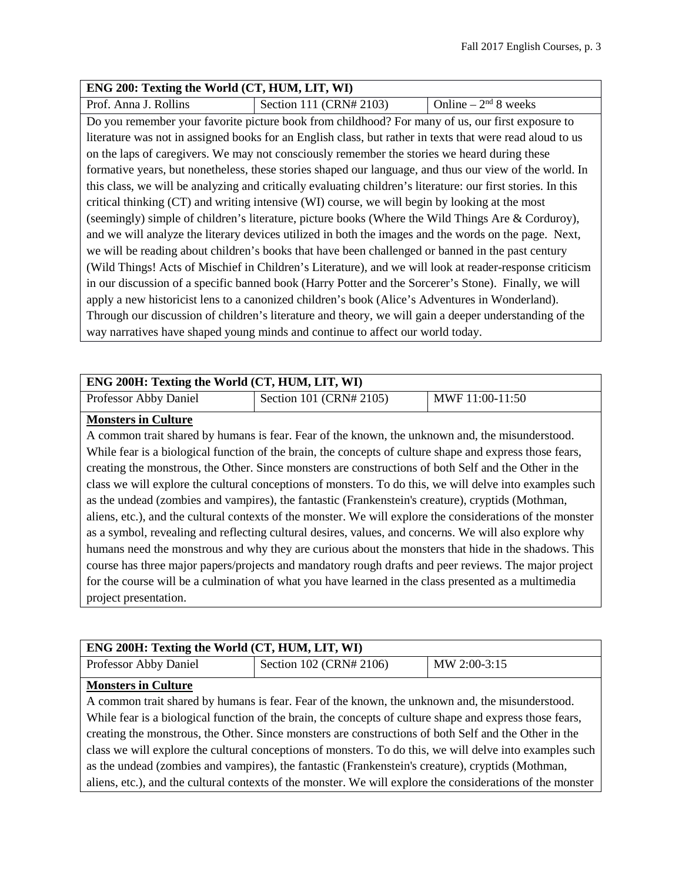#### **ENG 200: Texting the World (CT, HUM, LIT, WI)**

Prof. Anna J. Rollins Section 111 (CRN# 2103) Online –  $2<sup>nd</sup> 8$  weeks

Do you remember your favorite picture book from childhood? For many of us, our first exposure to literature was not in assigned books for an English class, but rather in texts that were read aloud to us on the laps of caregivers. We may not consciously remember the stories we heard during these formative years, but nonetheless, these stories shaped our language, and thus our view of the world. In this class, we will be analyzing and critically evaluating children's literature: our first stories. In this critical thinking (CT) and writing intensive (WI) course, we will begin by looking at the most (seemingly) simple of children's literature, picture books (Where the Wild Things Are & Corduroy), and we will analyze the literary devices utilized in both the images and the words on the page. Next, we will be reading about children's books that have been challenged or banned in the past century (Wild Things! Acts of Mischief in Children's Literature), and we will look at reader-response criticism in our discussion of a specific banned book (Harry Potter and the Sorcerer's Stone). Finally, we will apply a new historicist lens to a canonized children's book (Alice's Adventures in Wonderland). Through our discussion of children's literature and theory, we will gain a deeper understanding of the way narratives have shaped young minds and continue to affect our world today.

## **ENG 200H: Texting the World (CT, HUM, LIT, WI)**

| Professor Abby Daniel | Section 101 (CRN# 2105) | MWF 11:00-11:50 |
|-----------------------|-------------------------|-----------------|
| - -<br>.              |                         |                 |

## **Monsters in Culture**

A common trait shared by humans is fear. Fear of the known, the unknown and, the misunderstood. While fear is a biological function of the brain, the concepts of culture shape and express those fears, creating the monstrous, the Other. Since monsters are constructions of both Self and the Other in the class we will explore the cultural conceptions of monsters. To do this, we will delve into examples such as the undead (zombies and vampires), the fantastic (Frankenstein's creature), cryptids (Mothman, aliens, etc.), and the cultural contexts of the monster. We will explore the considerations of the monster as a symbol, revealing and reflecting cultural desires, values, and concerns. We will also explore why humans need the monstrous and why they are curious about the monsters that hide in the shadows. This course has three major papers/projects and mandatory rough drafts and peer reviews. The major project for the course will be a culmination of what you have learned in the class presented as a multimedia project presentation.

| ENG 200H: Texting the World (CT, HUM, LIT, WI)                                                           |                         |              |
|----------------------------------------------------------------------------------------------------------|-------------------------|--------------|
| Professor Abby Daniel                                                                                    | Section 102 (CRN# 2106) | MW 2:00-3:15 |
| <b>Monsters in Culture</b>                                                                               |                         |              |
| A common trait shared by humans is fear. Fear of the known, the unknown and, the misunderstood.          |                         |              |
| While fear is a biological function of the brain, the concepts of culture shape and express those fears, |                         |              |
| creating the monstrous, the Other. Since monsters are constructions of both Self and the Other in the    |                         |              |
| class we will explore the cultural conceptions of monsters. To do this, we will delve into examples such |                         |              |

cultural conceptions of monsters. To do this, we will delve into examples such as the undead (zombies and vampires), the fantastic (Frankenstein's creature), cryptids (Mothman, aliens, etc.), and the cultural contexts of the monster. We will explore the considerations of the monster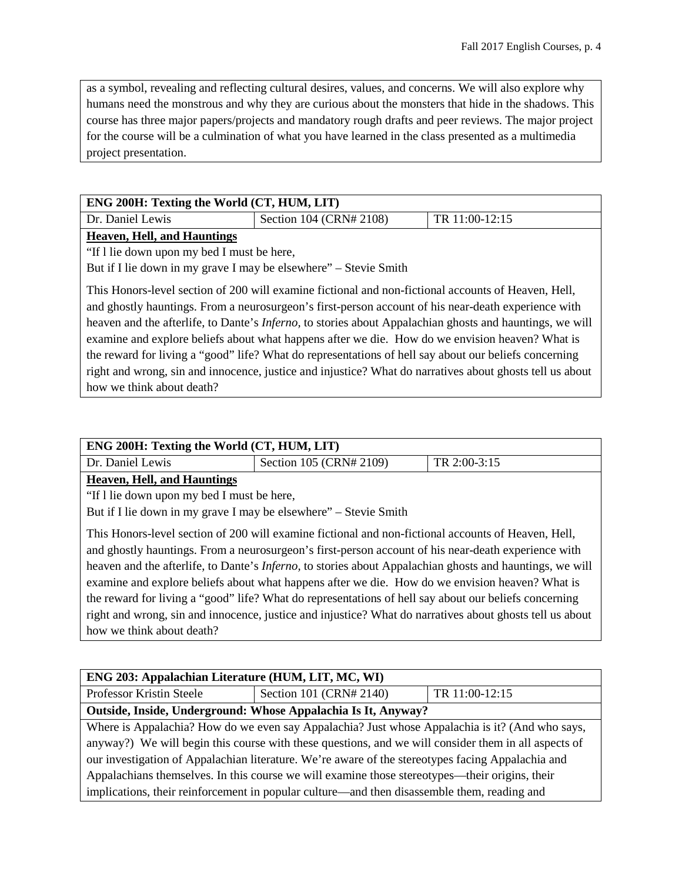as a symbol, revealing and reflecting cultural desires, values, and concerns. We will also explore why humans need the monstrous and why they are curious about the monsters that hide in the shadows. This course has three major papers/projects and mandatory rough drafts and peer reviews. The major project for the course will be a culmination of what you have learned in the class presented as a multimedia project presentation.

| ENG 200H: Texting the World (CT, HUM, LIT)                                                                       |                         |                |
|------------------------------------------------------------------------------------------------------------------|-------------------------|----------------|
| Dr. Daniel Lewis                                                                                                 | Section 104 (CRN# 2108) | TR 11:00-12:15 |
| <b>Heaven, Hell, and Hauntings</b>                                                                               |                         |                |
| "If I lie down upon my bed I must be here,                                                                       |                         |                |
| But if I lie down in my grave I may be elsewhere" – Stevie Smith                                                 |                         |                |
| This Honors-level section of 200 will examine fictional and non-fictional accounts of Heaven, Hell,              |                         |                |
| and ghostly hauntings. From a neurosurgeon's first-person account of his near-death experience with              |                         |                |
| heaven and the afterlife, to Dante's <i>Inferno</i> , to stories about Appalachian ghosts and hauntings, we will |                         |                |
| examine and explore beliefs about what happens after we die. How do we envision heaven? What is                  |                         |                |
| the reward for living a "good" life? What do representations of hell say about our beliefs concerning            |                         |                |
| right and wrong, sin and innocence, justice and injustice? What do narratives about ghosts tell us about         |                         |                |
| how we think about death?                                                                                        |                         |                |

| ENG 200H: Texting the World (CT, HUM, LIT) |                         |              |
|--------------------------------------------|-------------------------|--------------|
| Dr. Daniel Lewis                           | Section 105 (CRN# 2109) | TR 2:00-3:15 |
| <b>Heaven, Hell, and Hauntings</b>         |                         |              |

"If l lie down upon my bed I must be here,

But if I lie down in my grave I may be elsewhere" – Stevie Smith

This Honors-level section of 200 will examine fictional and non-fictional accounts of Heaven, Hell, and ghostly hauntings. From a neurosurgeon's first-person account of his near-death experience with heaven and the afterlife, to Dante's *Inferno,* to stories about Appalachian ghosts and hauntings, we will examine and explore beliefs about what happens after we die. How do we envision heaven? What is the reward for living a "good" life? What do representations of hell say about our beliefs concerning right and wrong, sin and innocence, justice and injustice? What do narratives about ghosts tell us about how we think about death?

| ENG 203: Appalachian Literature (HUM, LIT, MC, WI)                                                   |                                                               |                |
|------------------------------------------------------------------------------------------------------|---------------------------------------------------------------|----------------|
| Professor Kristin Steele                                                                             | Section 101 (CRN# 2140)                                       | TR 11:00-12:15 |
|                                                                                                      | Outside, Inside, Underground: Whose Appalachia Is It, Anyway? |                |
| Where is Appalachia? How do we even say Appalachia? Just whose Appalachia is it? (And who says,      |                                                               |                |
| anyway?) We will begin this course with these questions, and we will consider them in all aspects of |                                                               |                |
| our investigation of Appalachian literature. We're aware of the stereotypes facing Appalachia and    |                                                               |                |
| Appalachians themselves. In this course we will examine those stereotypes—their origins, their       |                                                               |                |
| implications, their reinforcement in popular culture—and then disassemble them, reading and          |                                                               |                |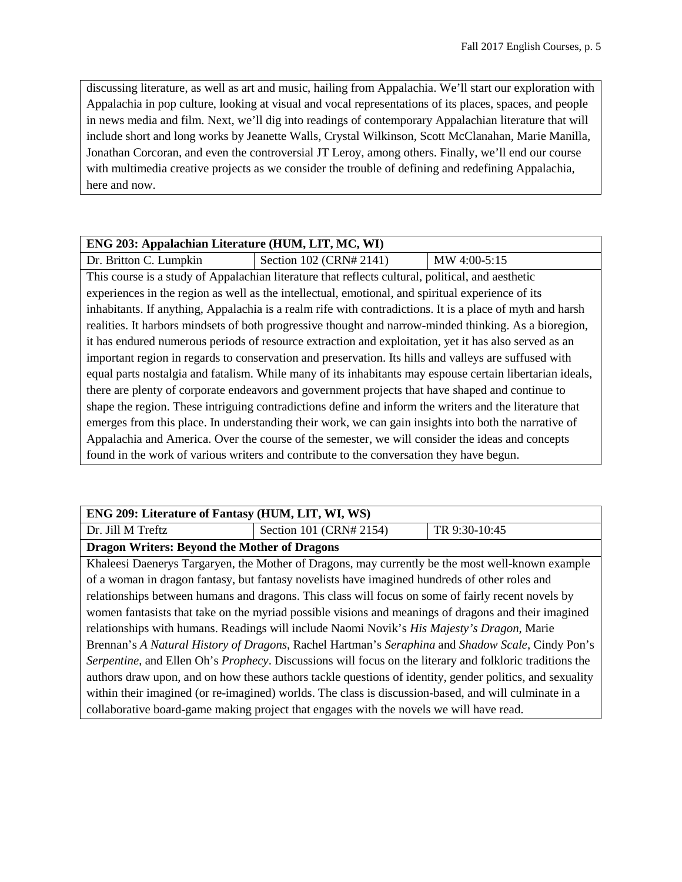discussing literature, as well as art and music, hailing from Appalachia. We'll start our exploration with Appalachia in pop culture, looking at visual and vocal representations of its places, spaces, and people in news media and film. Next, we'll dig into readings of contemporary Appalachian literature that will include short and long works by Jeanette Walls, Crystal Wilkinson, Scott McClanahan, Marie Manilla, Jonathan Corcoran, and even the controversial JT Leroy, among others. Finally, we'll end our course with multimedia creative projects as we consider the trouble of defining and redefining Appalachia, here and now.

| ENG 203: Appalachian Literature (HUM, LIT, MC, WI)                                                        |                                                                                                           |              |
|-----------------------------------------------------------------------------------------------------------|-----------------------------------------------------------------------------------------------------------|--------------|
| Dr. Britton C. Lumpkin                                                                                    | Section 102 (CRN# 2141)                                                                                   | MW 4:00-5:15 |
|                                                                                                           | This course is a study of Appalachian literature that reflects cultural, political, and aesthetic         |              |
|                                                                                                           | experiences in the region as well as the intellectual, emotional, and spiritual experience of its         |              |
|                                                                                                           | inhabitants. If anything, Appalachia is a realm rife with contradictions. It is a place of myth and harsh |              |
|                                                                                                           | realities. It harbors mindsets of both progressive thought and narrow-minded thinking. As a bioregion,    |              |
| it has endured numerous periods of resource extraction and exploitation, yet it has also served as an     |                                                                                                           |              |
| important region in regards to conservation and preservation. Its hills and valleys are suffused with     |                                                                                                           |              |
| equal parts nostalgia and fatalism. While many of its inhabitants may espouse certain libertarian ideals, |                                                                                                           |              |
| there are plenty of corporate endeavors and government projects that have shaped and continue to          |                                                                                                           |              |
| shape the region. These intriguing contradictions define and inform the writers and the literature that   |                                                                                                           |              |
| emerges from this place. In understanding their work, we can gain insights into both the narrative of     |                                                                                                           |              |
| Appalachia and America. Over the course of the semester, we will consider the ideas and concepts          |                                                                                                           |              |
| found in the work of various writers and contribute to the conversation they have begun.                  |                                                                                                           |              |

| ENG 209: Literature of Fantasy (HUM, LIT, WI, WS)                                                        |                                                                                                  |               |  |
|----------------------------------------------------------------------------------------------------------|--------------------------------------------------------------------------------------------------|---------------|--|
| Dr. Jill M Treftz                                                                                        | Section 101 (CRN# 2154)                                                                          | TR 9:30-10:45 |  |
| <b>Dragon Writers: Beyond the Mother of Dragons</b>                                                      |                                                                                                  |               |  |
|                                                                                                          | Khaleesi Daenerys Targaryen, the Mother of Dragons, may currently be the most well-known example |               |  |
| of a woman in dragon fantasy, but fantasy novelists have imagined hundreds of other roles and            |                                                                                                  |               |  |
| relationships between humans and dragons. This class will focus on some of fairly recent novels by       |                                                                                                  |               |  |
| women fantasists that take on the myriad possible visions and meanings of dragons and their imagined     |                                                                                                  |               |  |
| relationships with humans. Readings will include Naomi Novik's His Majesty's Dragon, Marie               |                                                                                                  |               |  |
| Brennan's A Natural History of Dragons, Rachel Hartman's Seraphina and Shadow Scale, Cindy Pon's         |                                                                                                  |               |  |
| Serpentine, and Ellen Oh's Prophecy. Discussions will focus on the literary and folkloric traditions the |                                                                                                  |               |  |
| authors draw upon, and on how these authors tackle questions of identity, gender politics, and sexuality |                                                                                                  |               |  |
| within their imagined (or re-imagined) worlds. The class is discussion-based, and will culminate in a    |                                                                                                  |               |  |
|                                                                                                          | collaborative board-game making project that engages with the novels we will have read.          |               |  |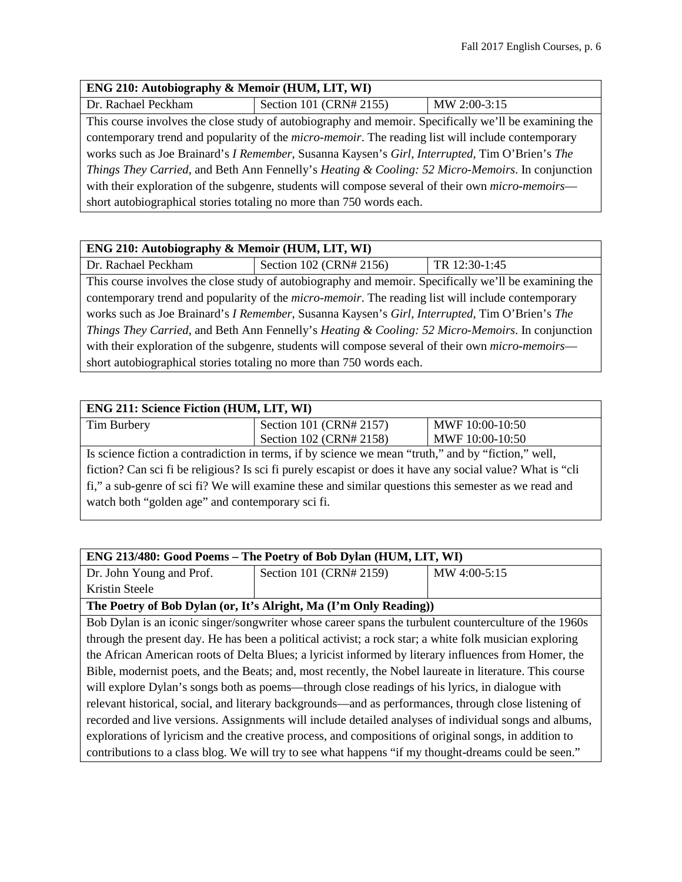## **ENG 210: Autobiography & Memoir (HUM, LIT, WI)**

Dr. Rachael Peckham Section 101 (CRN# 2155) MW 2:00-3:15

This course involves the close study of autobiography and memoir. Specifically we'll be examining the contemporary trend and popularity of the *micro-memoir*. The reading list will include contemporary works such as Joe Brainard's *I Remember*, Susanna Kaysen's *Girl, Interrupted*, Tim O'Brien's *The Things They Carried*, and Beth Ann Fennelly's *Heating & Cooling: 52 Micro-Memoirs*. In conjunction with their exploration of the subgenre, students will compose several of their own *micro-memoirs* short autobiographical stories totaling no more than 750 words each.

| ENG 210: Autobiography & Memoir (HUM, LIT, WI)                                                            |                         |               |
|-----------------------------------------------------------------------------------------------------------|-------------------------|---------------|
| Dr. Rachael Peckham                                                                                       | Section 102 (CRN# 2156) | TR 12:30-1:45 |
| This course involves the close study of autobiography and memoir. Specifically we'll be examining the     |                         |               |
| contemporary trend and popularity of the <i>micro-memoir</i> . The reading list will include contemporary |                         |               |
| works such as Joe Brainard's I Remember, Susanna Kaysen's Girl, Interrupted, Tim O'Brien's The            |                         |               |
| Things They Carried, and Beth Ann Fennelly's Heating & Cooling: 52 Micro-Memoirs. In conjunction          |                         |               |
| with their exploration of the subgenre, students will compose several of their own <i>micro-memoirs</i> — |                         |               |
| short autobiographical stories totaling no more than 750 words each.                                      |                         |               |

| <b>ENG 211: Science Fiction (HUM, LIT, WI)</b>                                                             |                         |                 |
|------------------------------------------------------------------------------------------------------------|-------------------------|-----------------|
| Tim Burbery                                                                                                | Section 101 (CRN# 2157) | MWF 10:00-10:50 |
|                                                                                                            | Section 102 (CRN# 2158) | MWF 10:00-10:50 |
| Is science fiction a contradiction in terms, if by science we mean "truth," and by "fiction," well,        |                         |                 |
| fiction? Can sci fi be religious? Is sci fi purely escapist or does it have any social value? What is "cli |                         |                 |
| fi," a sub-genre of sci fi? We will examine these and similar questions this semester as we read and       |                         |                 |
| watch both "golden age" and contemporary sci fi.                                                           |                         |                 |

| ENG 213/480: Good Poems - The Poetry of Bob Dylan (HUM, LIT, WI)                                         |                                                                                                         |              |
|----------------------------------------------------------------------------------------------------------|---------------------------------------------------------------------------------------------------------|--------------|
| Dr. John Young and Prof.                                                                                 | Section 101 (CRN# 2159)                                                                                 | MW 4:00-5:15 |
| Kristin Steele                                                                                           |                                                                                                         |              |
|                                                                                                          | The Poetry of Bob Dylan (or, It's Alright, Ma (I'm Only Reading))                                       |              |
|                                                                                                          | Bob Dylan is an iconic singer/songwriter whose career spans the turbulent counterculture of the 1960s   |              |
|                                                                                                          | through the present day. He has been a political activist; a rock star; a white folk musician exploring |              |
| the African American roots of Delta Blues; a lyricist informed by literary influences from Homer, the    |                                                                                                         |              |
| Bible, modernist poets, and the Beats; and, most recently, the Nobel laureate in literature. This course |                                                                                                         |              |
| will explore Dylan's songs both as poems—through close readings of his lyrics, in dialogue with          |                                                                                                         |              |
| relevant historical, social, and literary backgrounds—and as performances, through close listening of    |                                                                                                         |              |
| recorded and live versions. Assignments will include detailed analyses of individual songs and albums,   |                                                                                                         |              |
| explorations of lyricism and the creative process, and compositions of original songs, in addition to    |                                                                                                         |              |
|                                                                                                          | contributions to a class blog. We will try to see what happens "if my thought-dreams could be seen."    |              |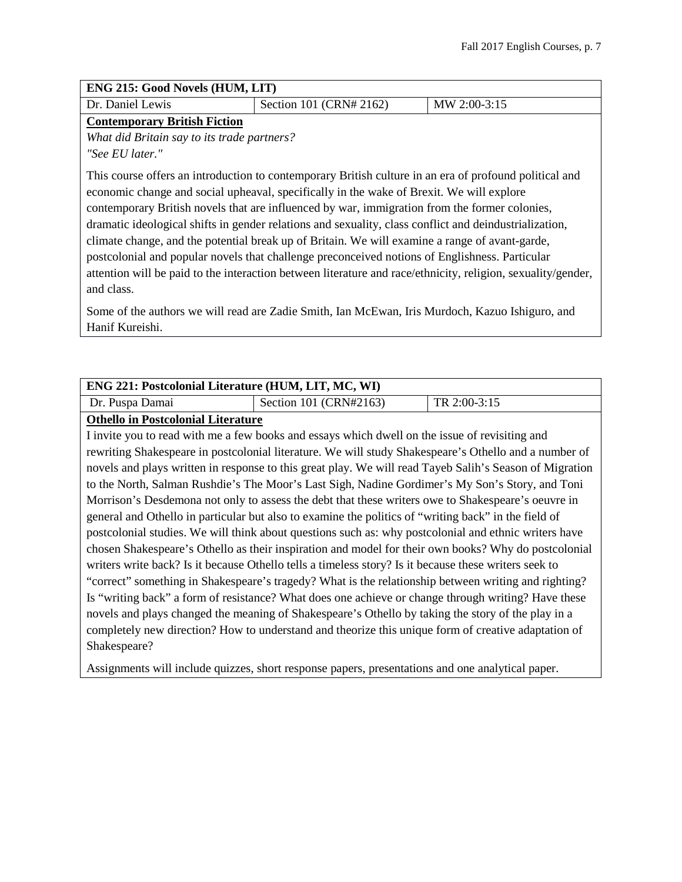| <b>ENG 215: Good Novels (HUM, LIT)</b>      |                                                                                                                                                                                                                                                                                                                                                                                                                                                                                                                                                                                                                                                                                                                                   |              |
|---------------------------------------------|-----------------------------------------------------------------------------------------------------------------------------------------------------------------------------------------------------------------------------------------------------------------------------------------------------------------------------------------------------------------------------------------------------------------------------------------------------------------------------------------------------------------------------------------------------------------------------------------------------------------------------------------------------------------------------------------------------------------------------------|--------------|
| Dr. Daniel Lewis                            | Section 101 (CRN# 2162)                                                                                                                                                                                                                                                                                                                                                                                                                                                                                                                                                                                                                                                                                                           | MW 2:00-3:15 |
| <b>Contemporary British Fiction</b>         |                                                                                                                                                                                                                                                                                                                                                                                                                                                                                                                                                                                                                                                                                                                                   |              |
| What did Britain say to its trade partners? |                                                                                                                                                                                                                                                                                                                                                                                                                                                                                                                                                                                                                                                                                                                                   |              |
| "See EU later."                             |                                                                                                                                                                                                                                                                                                                                                                                                                                                                                                                                                                                                                                                                                                                                   |              |
| and class.                                  | This course offers an introduction to contemporary British culture in an era of profound political and<br>economic change and social upheaval, specifically in the wake of Brexit. We will explore<br>contemporary British novels that are influenced by war, immigration from the former colonies,<br>dramatic ideological shifts in gender relations and sexuality, class conflict and deindustrialization,<br>climate change, and the potential break up of Britain. We will examine a range of avant-garde,<br>postcolonial and popular novels that challenge preconceived notions of Englishness. Particular<br>attention will be paid to the interaction between literature and race/ethnicity, religion, sexuality/gender, |              |
|                                             | Some of the authors we will read are Zadie Smith, Ian McEwan, Iris Murdoch, Kazuo Ishiguro, and                                                                                                                                                                                                                                                                                                                                                                                                                                                                                                                                                                                                                                   |              |

**ENG 221: Postcolonial Literature (HUM, LIT, MC, WI)**  Dr. Puspa Damai Section 101 (CRN#2163) TR 2:00-3:15

#### **Othello in Postcolonial Literature**

Hanif Kureishi.

I invite you to read with me a few books and essays which dwell on the issue of revisiting and rewriting Shakespeare in postcolonial literature. We will study Shakespeare's Othello and a number of novels and plays written in response to this great play. We will read Tayeb Salih's Season of Migration to the North, Salman Rushdie's The Moor's Last Sigh, Nadine Gordimer's My Son's Story, and Toni Morrison's Desdemona not only to assess the debt that these writers owe to Shakespeare's oeuvre in general and Othello in particular but also to examine the politics of "writing back" in the field of postcolonial studies. We will think about questions such as: why postcolonial and ethnic writers have chosen Shakespeare's Othello as their inspiration and model for their own books? Why do postcolonial writers write back? Is it because Othello tells a timeless story? Is it because these writers seek to "correct" something in Shakespeare's tragedy? What is the relationship between writing and righting? Is "writing back" a form of resistance? What does one achieve or change through writing? Have these novels and plays changed the meaning of Shakespeare's Othello by taking the story of the play in a completely new direction? How to understand and theorize this unique form of creative adaptation of Shakespeare?

Assignments will include quizzes, short response papers, presentations and one analytical paper.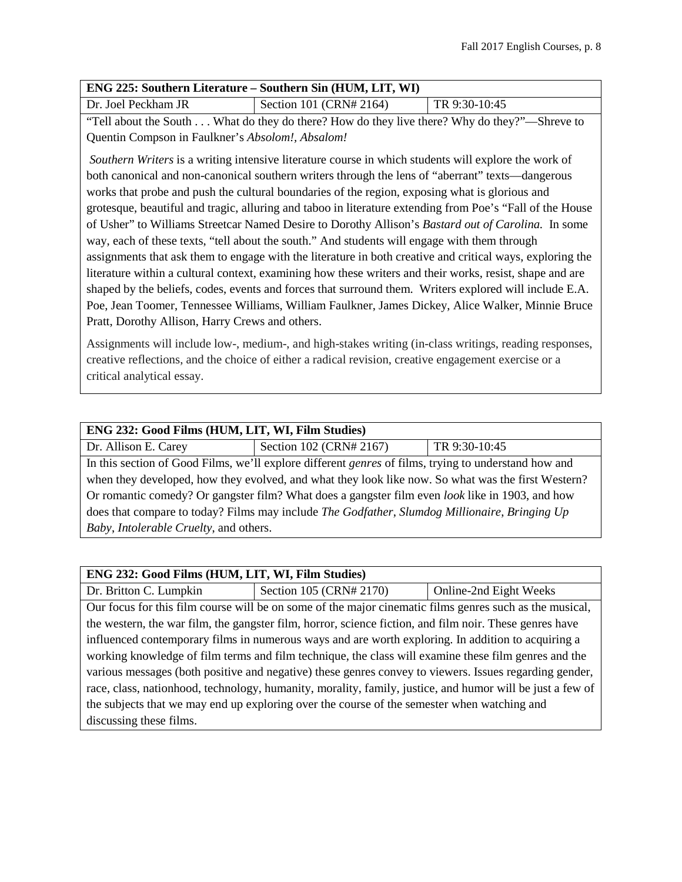| ENG 225: Southern Literature – Southern Sin (HUM, LIT, WI)                                                |                                                                                                           |               |
|-----------------------------------------------------------------------------------------------------------|-----------------------------------------------------------------------------------------------------------|---------------|
| Dr. Joel Peckham JR                                                                                       | Section 101 (CRN# 2164)                                                                                   | TR 9:30-10:45 |
|                                                                                                           | "Tell about the South What do they do there? How do they live there? Why do they?"—Shreve to              |               |
| Quentin Compson in Faulkner's Absolom!, Absalom!                                                          |                                                                                                           |               |
|                                                                                                           | Southern Writers is a writing intensive literature course in which students will explore the work of      |               |
|                                                                                                           | both canonical and non-canonical southern writers through the lens of "aberrant" texts—dangerous          |               |
|                                                                                                           | works that probe and push the cultural boundaries of the region, exposing what is glorious and            |               |
| grotesque, beautiful and tragic, alluring and taboo in literature extending from Poe's "Fall of the House |                                                                                                           |               |
| of Usher" to Williams Streetcar Named Desire to Dorothy Allison's Bastard out of Carolina. In some        |                                                                                                           |               |
| way, each of these texts, "tell about the south." And students will engage with them through              |                                                                                                           |               |
|                                                                                                           | assignments that ask them to engage with the literature in both creative and critical ways, exploring the |               |
| literature within a cultural context, examining how these writers and their works, resist, shape and are  |                                                                                                           |               |
| shaped by the beliefs, codes, events and forces that surround them. Writers explored will include E.A.    |                                                                                                           |               |
|                                                                                                           | Poe, Jean Toomer, Tennessee Williams, William Faulkner, James Dickey, Alice Walker, Minnie Bruce          |               |

Pratt, Dorothy Allison, Harry Crews and others.

Assignments will include low-, medium-, and high-stakes writing (in-class writings, reading responses, creative reflections, and the choice of either a radical revision, creative engagement exercise or a critical analytical essay.

| ENG 232: Good Films (HUM, LIT, WI, Film Studies)                                                            |                         |               |
|-------------------------------------------------------------------------------------------------------------|-------------------------|---------------|
| Dr. Allison E. Carey                                                                                        | Section 102 (CRN# 2167) | TR 9:30-10:45 |
| In this section of Good Films, we'll explore different <i>genres</i> of films, trying to understand how and |                         |               |
| when they developed, how they evolved, and what they look like now. So what was the first Western?          |                         |               |
| Or romantic comedy? Or gangster film? What does a gangster film even <i>look</i> like in 1903, and how      |                         |               |
| does that compare to today? Films may include The Godfather, Slumdog Millionaire, Bringing Up               |                         |               |
| Baby, Intolerable Cruelty, and others.                                                                      |                         |               |

| ENG 232: Good Films (HUM, LIT, WI, Film Studies)                                                          |                                                                                                         |                        |
|-----------------------------------------------------------------------------------------------------------|---------------------------------------------------------------------------------------------------------|------------------------|
| Dr. Britton C. Lumpkin                                                                                    | Section 105 (CRN# 2170)                                                                                 | Online-2nd Eight Weeks |
|                                                                                                           | Our focus for this film course will be on some of the major cinematic films genres such as the musical, |                        |
|                                                                                                           | the western, the war film, the gangster film, horror, science fiction, and film noir. These genres have |                        |
| influenced contemporary films in numerous ways and are worth exploring. In addition to acquiring a        |                                                                                                         |                        |
| working knowledge of film terms and film technique, the class will examine these film genres and the      |                                                                                                         |                        |
| various messages (both positive and negative) these genres convey to viewers. Issues regarding gender,    |                                                                                                         |                        |
| race, class, nationhood, technology, humanity, morality, family, justice, and humor will be just a few of |                                                                                                         |                        |
| the subjects that we may end up exploring over the course of the semester when watching and               |                                                                                                         |                        |
| discussing these films.                                                                                   |                                                                                                         |                        |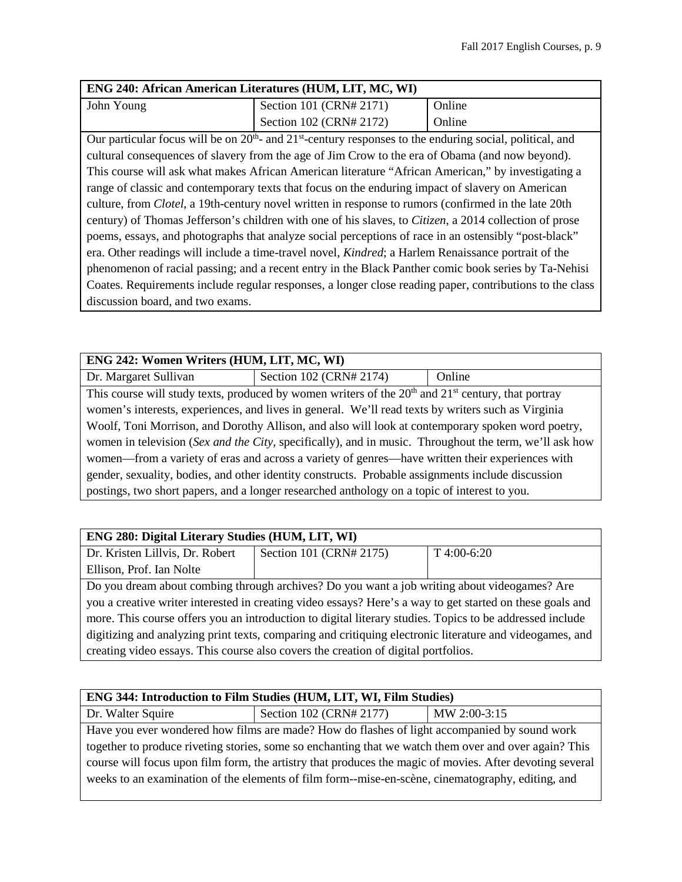| <b>ENG 240: African American Literatures (HUM, LIT, MC, WI)</b>                                               |                         |        |
|---------------------------------------------------------------------------------------------------------------|-------------------------|--------|
| John Young                                                                                                    | Section 101 (CRN# 2171) | Online |
|                                                                                                               | Section 102 (CRN# 2172) | Online |
| $\sim$ 0.00 nontantente care will be an 20th and 21st continue noncorease to the anguing spaint notitized and |                         |        |

Our particular focus will be on  $20<sup>th</sup>$ - and  $21<sup>st</sup>$ -century responses to the enduring social, political, and cultural consequences of slavery from the age of Jim Crow to the era of Obama (and now beyond). This course will ask what makes African American literature "African American," by investigating a range of classic and contemporary texts that focus on the enduring impact of slavery on American culture, from *Clotel*, a 19th-century novel written in response to rumors (confirmed in the late 20th century) of Thomas Jefferson's children with one of his slaves, to *Citizen*, a 2014 collection of prose poems, essays, and photographs that analyze social perceptions of race in an ostensibly "post-black" era. Other readings will include a time-travel novel, *Kindred*; a Harlem Renaissance portrait of the phenomenon of racial passing; and a recent entry in the Black Panther comic book series by Ta-Nehisi Coates. Requirements include regular responses, a longer close reading paper, contributions to the class discussion board, and two exams.

| ENG 242: Women Writers (HUM, LIT, MC, WI)                                                              |                                                                                                        |        |
|--------------------------------------------------------------------------------------------------------|--------------------------------------------------------------------------------------------------------|--------|
| Dr. Margaret Sullivan                                                                                  | Section 102 (CRN# 2174)                                                                                | Online |
|                                                                                                        | This course will study texts, produced by women writers of the $20th$ and $21st$ century, that portray |        |
| women's interests, experiences, and lives in general. We'll read texts by writers such as Virginia     |                                                                                                        |        |
| Woolf, Toni Morrison, and Dorothy Allison, and also will look at contemporary spoken word poetry,      |                                                                                                        |        |
| women in television (Sex and the City, specifically), and in music. Throughout the term, we'll ask how |                                                                                                        |        |
| women—from a variety of eras and across a variety of genres—have written their experiences with        |                                                                                                        |        |
| gender, sexuality, bodies, and other identity constructs. Probable assignments include discussion      |                                                                                                        |        |
| postings, two short papers, and a longer researched anthology on a topic of interest to you.           |                                                                                                        |        |

| ENG 280: Digital Literary Studies (HUM, LIT, WI)                                                          |                         |             |
|-----------------------------------------------------------------------------------------------------------|-------------------------|-------------|
| Dr. Kristen Lillvis, Dr. Robert                                                                           | Section 101 (CRN# 2175) | T 4:00-6:20 |
| Ellison, Prof. Ian Nolte                                                                                  |                         |             |
| Do you dream about combing through archives? Do you want a job writing about videogames? Are              |                         |             |
| you a creative writer interested in creating video essays? Here's a way to get started on these goals and |                         |             |
| more. This course offers you an introduction to digital literary studies. Topics to be addressed include  |                         |             |
| digitizing and analyzing print texts, comparing and critiquing electronic literature and videogames, and  |                         |             |
| creating video essays. This course also covers the creation of digital portfolios.                        |                         |             |

## **ENG 344: Introduction to Film Studies (HUM, LIT, WI, Film Studies)**

Dr. Walter Squire Squire Section 102 (CRN# 2177) MW 2:00-3:15

Have you ever wondered how films are made? How do flashes of light accompanied by sound work together to produce riveting stories, some so enchanting that we watch them over and over again? This course will focus upon film form, the artistry that produces the magic of movies. After devoting several weeks to an examination of the elements of film form--mise-en-scène, cinematography, editing, and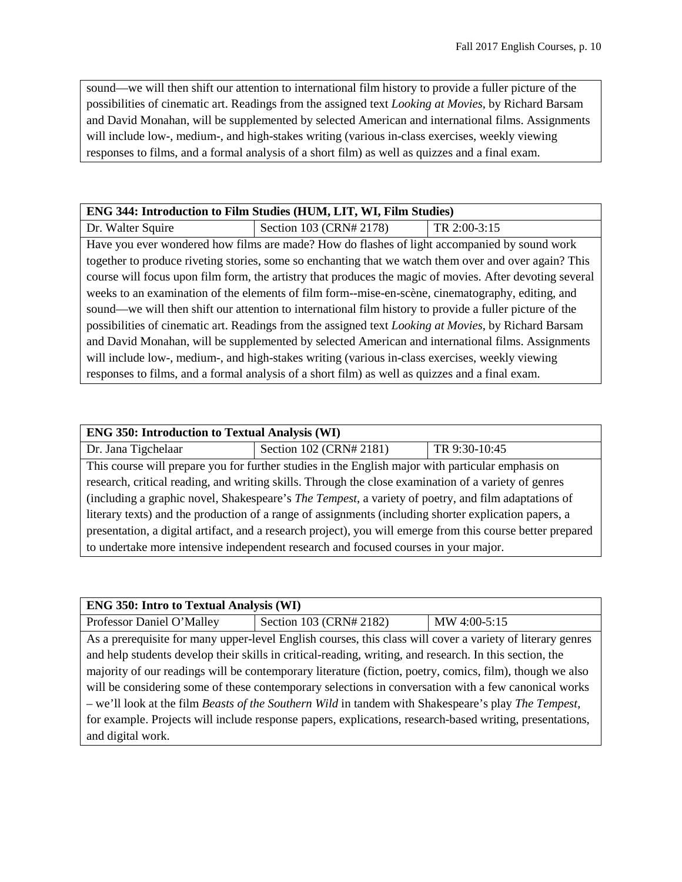sound—we will then shift our attention to international film history to provide a fuller picture of the possibilities of cinematic art. Readings from the assigned text *Looking at Movies*, by Richard Barsam and David Monahan, will be supplemented by selected American and international films. Assignments will include low-, medium-, and high-stakes writing (various in-class exercises, weekly viewing responses to films, and a formal analysis of a short film) as well as quizzes and a final exam.

| <b>ENG 344: Introduction to Film Studies (HUM, LIT, WI, Film Studies)</b> |  |
|---------------------------------------------------------------------------|--|
|---------------------------------------------------------------------------|--|

Dr. Walter Squire Section 103 (CRN# 2178) TR 2:00-3:15 Have you ever wondered how films are made? How do flashes of light accompanied by sound work together to produce riveting stories, some so enchanting that we watch them over and over again? This course will focus upon film form, the artistry that produces the magic of movies. After devoting several weeks to an examination of the elements of film form--mise-en-scène, cinematography, editing, and sound—we will then shift our attention to international film history to provide a fuller picture of the possibilities of cinematic art. Readings from the assigned text *Looking at Movies*, by Richard Barsam and David Monahan, will be supplemented by selected American and international films. Assignments will include low-, medium-, and high-stakes writing (various in-class exercises, weekly viewing responses to films, and a formal analysis of a short film) as well as quizzes and a final exam.

| <b>ENG 350: Introduction to Textual Analysis (WI)</b>                                                       |                                                                                                   |               |
|-------------------------------------------------------------------------------------------------------------|---------------------------------------------------------------------------------------------------|---------------|
| Dr. Jana Tigchelaar                                                                                         | Section 102 (CRN# 2181)                                                                           | TR 9:30-10:45 |
|                                                                                                             | This course will prepare you for further studies in the English major with particular emphasis on |               |
| research, critical reading, and writing skills. Through the close examination of a variety of genres        |                                                                                                   |               |
| (including a graphic novel, Shakespeare's The Tempest, a variety of poetry, and film adaptations of         |                                                                                                   |               |
| literary texts) and the production of a range of assignments (including shorter explication papers, a       |                                                                                                   |               |
| presentation, a digital artifact, and a research project), you will emerge from this course better prepared |                                                                                                   |               |
| to undertake more intensive independent research and focused courses in your major.                         |                                                                                                   |               |

#### **ENG 350: Intro to Textual Analysis (WI)**

Professor Daniel O'Malley | Section 103 (CRN# 2182) | MW 4:00-5:15 As a prerequisite for many upper-level English courses, this class will cover a variety of literary genres and help students develop their skills in critical-reading, writing, and research. In this section, the majority of our readings will be contemporary literature (fiction, poetry, comics, film), though we also will be considering some of these contemporary selections in conversation with a few canonical works – we'll look at the film *Beasts of the Southern Wild* in tandem with Shakespeare's play *The Tempest*, for example. Projects will include response papers, explications, research-based writing, presentations, and digital work.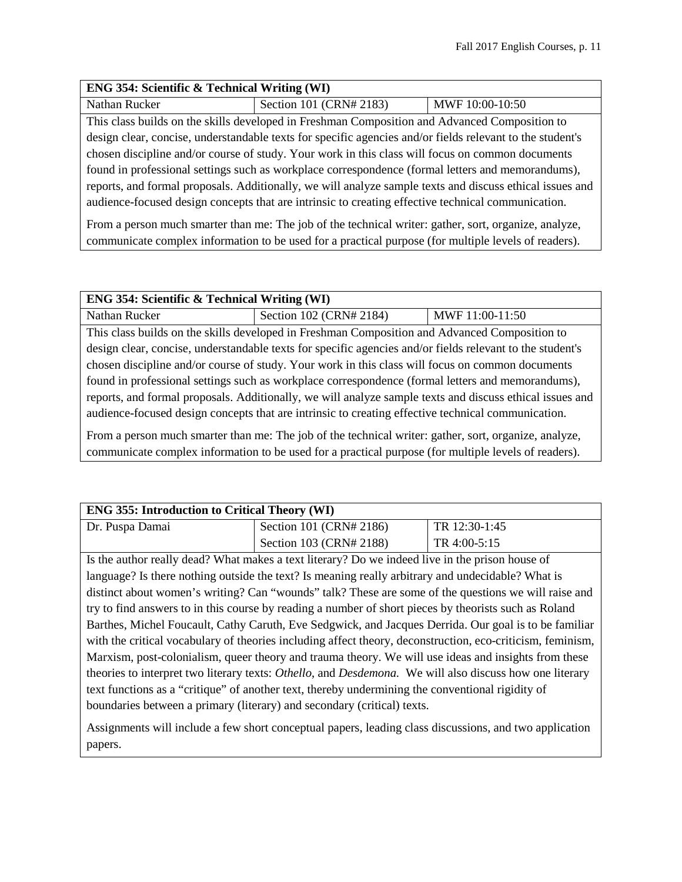#### **ENG 354: Scientific & Technical Writing (WI)**

Nathan Rucker Section 101 (CRN# 2183) MWF 10:00-10:50

This class builds on the skills developed in Freshman Composition and Advanced Composition to design clear, concise, understandable texts for specific agencies and/or fields relevant to the student's chosen discipline and/or course of study. Your work in this class will focus on common documents found in professional settings such as workplace correspondence (formal letters and memorandums), reports, and formal proposals. Additionally, we will analyze sample texts and discuss ethical issues and audience-focused design concepts that are intrinsic to creating effective technical communication.

From a person much smarter than me: The job of the technical writer: gather, sort, organize, analyze, communicate complex information to be used for a practical purpose (for multiple levels of readers).

| <b>ENG 354: Scientific &amp; Technical Writing (WI)</b>                                                                                                                                                       |                                                                                                           |                 |
|---------------------------------------------------------------------------------------------------------------------------------------------------------------------------------------------------------------|-----------------------------------------------------------------------------------------------------------|-----------------|
| Nathan Rucker                                                                                                                                                                                                 | Section 102 (CRN# 2184)                                                                                   | MWF 11:00-11:50 |
|                                                                                                                                                                                                               | This class builds on the skills developed in Freshman Composition and Advanced Composition to             |                 |
|                                                                                                                                                                                                               | design clear, concise, understandable texts for specific agencies and/or fields relevant to the student's |                 |
| chosen discipline and/or course of study. Your work in this class will focus on common documents                                                                                                              |                                                                                                           |                 |
| found in professional settings such as workplace correspondence (formal letters and memorandums),                                                                                                             |                                                                                                           |                 |
| reports, and formal proposals. Additionally, we will analyze sample texts and discuss ethical issues and                                                                                                      |                                                                                                           |                 |
| audience-focused design concepts that are intrinsic to creating effective technical communication.                                                                                                            |                                                                                                           |                 |
| From a person much smarter than me: The job of the technical writer: gather, sort, organize, analyze,<br>communicate complex information to be used for a practical purpose (for multiple levels of readers). |                                                                                                           |                 |

| <b>ENG 355: Introduction to Critical Theory (WI)</b> |                         |               |
|------------------------------------------------------|-------------------------|---------------|
| Dr. Puspa Damai                                      | Section 101 (CRN# 2186) | TR 12:30-1:45 |
|                                                      | Section 103 (CRN# 2188) | TR 4:00-5:15  |

Is the author really dead? What makes a text literary? Do we indeed live in the prison house of language? Is there nothing outside the text? Is meaning really arbitrary and undecidable? What is distinct about women's writing? Can "wounds" talk? These are some of the questions we will raise and try to find answers to in this course by reading a number of short pieces by theorists such as Roland Barthes, Michel Foucault, Cathy Caruth, Eve Sedgwick, and Jacques Derrida. Our goal is to be familiar with the critical vocabulary of theories including affect theory, deconstruction, eco-criticism, feminism, Marxism, post-colonialism, queer theory and trauma theory. We will use ideas and insights from these theories to interpret two literary texts: *Othello*, and *Desdemona.* We will also discuss how one literary text functions as a "critique" of another text, thereby undermining the conventional rigidity of boundaries between a primary (literary) and secondary (critical) texts.

Assignments will include a few short conceptual papers, leading class discussions, and two application papers.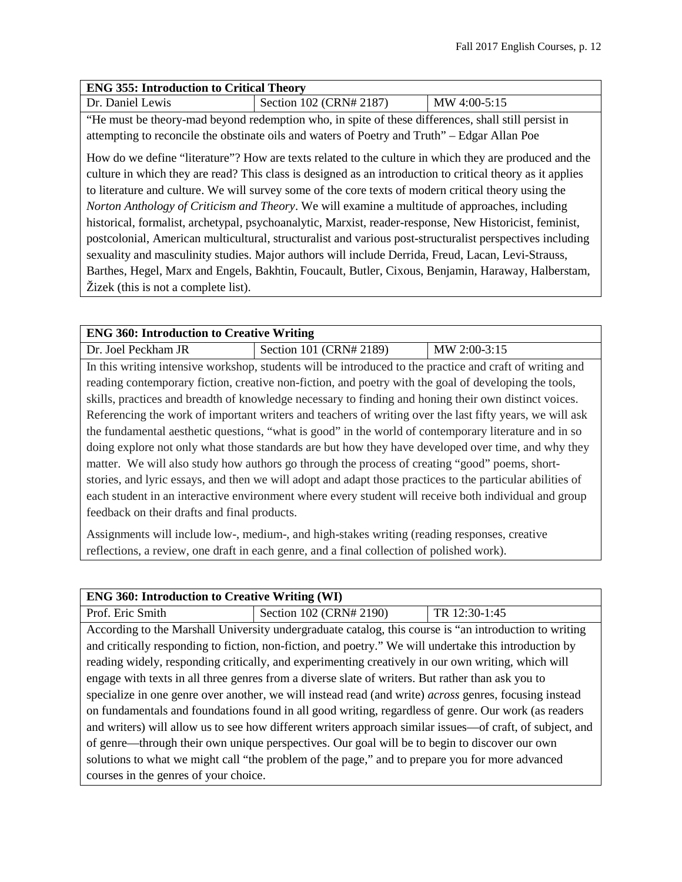#### **ENG 355: Introduction to Critical Theory**

| Dr. Daniel Lewis |  |
|------------------|--|
|                  |  |

Section 102 (CRN# 2187) MW 4:00-5:15

"He must be theory-mad beyond redemption who, in spite of these differences, shall still persist in attempting to reconcile the obstinate oils and waters of Poetry and Truth" – Edgar Allan Poe

How do we define "literature"? How are texts related to the culture in which they are produced and the culture in which they are read? This class is designed as an introduction to critical theory as it applies to literature and culture. We will survey some of the core texts of modern critical theory using the *Norton Anthology of Criticism and Theory*. We will examine a multitude of approaches, including historical, formalist, archetypal, psychoanalytic, Marxist, reader-response, New Historicist, feminist, postcolonial, American multicultural, structuralist and various post-structuralist perspectives including sexuality and masculinity studies. Major authors will include Derrida, Freud, Lacan, Levi-Strauss, Barthes, Hegel, Marx and Engels, Bakhtin, Foucault, Butler, Cixous, Benjamin, Haraway, Halberstam, Žizek (this is not a complete list).

| <b>ENG 360: Introduction to Creative Writing</b>                                                           |                                                                                                          |              |
|------------------------------------------------------------------------------------------------------------|----------------------------------------------------------------------------------------------------------|--------------|
| Dr. Joel Peckham JR                                                                                        | Section 101 (CRN# 2189)                                                                                  | MW 2:00-3:15 |
|                                                                                                            | In this writing intensive workshop, students will be introduced to the practice and craft of writing and |              |
|                                                                                                            | reading contemporary fiction, creative non-fiction, and poetry with the goal of developing the tools,    |              |
|                                                                                                            | skills, practices and breadth of knowledge necessary to finding and honing their own distinct voices.    |              |
|                                                                                                            | Referencing the work of important writers and teachers of writing over the last fifty years, we will ask |              |
| the fundamental aesthetic questions, "what is good" in the world of contemporary literature and in so      |                                                                                                          |              |
| doing explore not only what those standards are but how they have developed over time, and why they        |                                                                                                          |              |
| matter. We will also study how authors go through the process of creating "good" poems, short-             |                                                                                                          |              |
| stories, and lyric essays, and then we will adopt and adapt those practices to the particular abilities of |                                                                                                          |              |
| each student in an interactive environment where every student will receive both individual and group      |                                                                                                          |              |
| feedback on their drafts and final products.                                                               |                                                                                                          |              |
|                                                                                                            |                                                                                                          |              |

Assignments will include low-, medium-, and high-stakes writing (reading responses, creative reflections, a review, one draft in each genre, and a final collection of polished work).

| <b>ENG 360: Introduction to Creative Writing (WI)</b>                                                         |                                                                                                        |               |
|---------------------------------------------------------------------------------------------------------------|--------------------------------------------------------------------------------------------------------|---------------|
| Prof. Eric Smith                                                                                              | Section 102 (CRN# 2190)                                                                                | TR 12:30-1:45 |
|                                                                                                               | According to the Marshall University undergraduate catalog, this course is "an introduction to writing |               |
|                                                                                                               | and critically responding to fiction, non-fiction, and poetry." We will undertake this introduction by |               |
|                                                                                                               | reading widely, responding critically, and experimenting creatively in our own writing, which will     |               |
| engage with texts in all three genres from a diverse slate of writers. But rather than ask you to             |                                                                                                        |               |
| specialize in one genre over another, we will instead read (and write) <i>across</i> genres, focusing instead |                                                                                                        |               |
| on fundamentals and foundations found in all good writing, regardless of genre. Our work (as readers          |                                                                                                        |               |
| and writers) will allow us to see how different writers approach similar issues—of craft, of subject, and     |                                                                                                        |               |
| of genre—through their own unique perspectives. Our goal will be to begin to discover our own                 |                                                                                                        |               |
| solutions to what we might call "the problem of the page," and to prepare you for more advanced               |                                                                                                        |               |
| courses in the genres of your choice.                                                                         |                                                                                                        |               |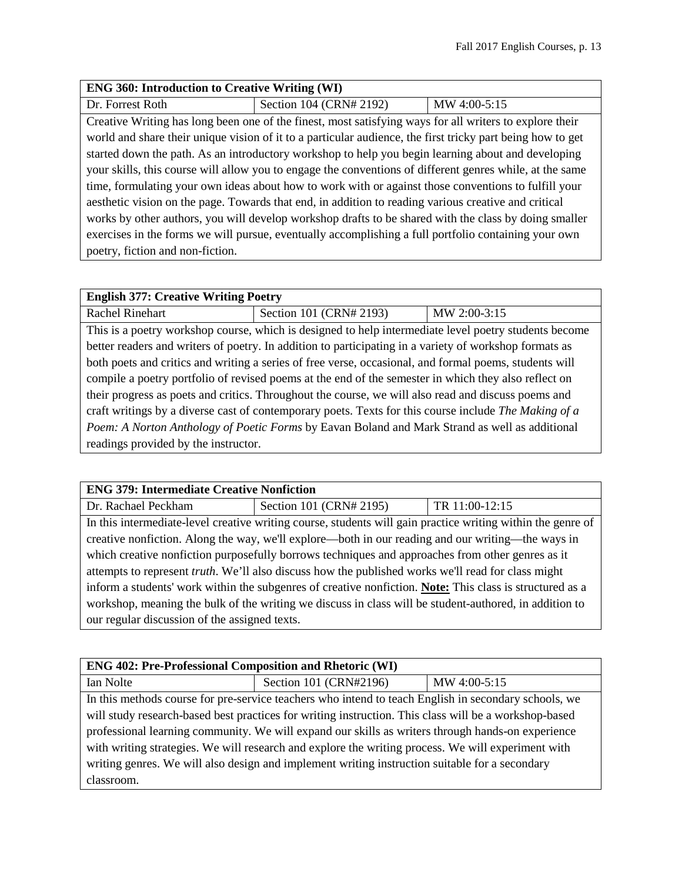#### **ENG 360: Introduction to Creative Writing (WI)**

Dr. Forrest Roth Section 104 (CRN# 2192) MW 4:00-5:15

Creative Writing has long been one of the finest, most satisfying ways for all writers to explore their world and share their unique vision of it to a particular audience, the first tricky part being how to get started down the path. As an introductory workshop to help you begin learning about and developing your skills, this course will allow you to engage the conventions of different genres while, at the same time, formulating your own ideas about how to work with or against those conventions to fulfill your aesthetic vision on the page. Towards that end, in addition to reading various creative and critical works by other authors, you will develop workshop drafts to be shared with the class by doing smaller exercises in the forms we will pursue, eventually accomplishing a full portfolio containing your own poetry, fiction and non-fiction.

#### **English 377: Creative Writing Poetry**

Rachel Rinehart Section 101 (CRN# 2193) MW 2:00-3:15 This is a poetry workshop course, which is designed to help intermediate level poetry students become better readers and writers of poetry. In addition to participating in a variety of workshop formats as both poets and critics and writing a series of free verse, occasional, and formal poems, students will compile a poetry portfolio of revised poems at the end of the semester in which they also reflect on their progress as poets and critics. Throughout the course, we will also read and discuss poems and craft writings by a diverse cast of contemporary poets. Texts for this course include *The Making of a Poem: A Norton Anthology of Poetic Forms* by Eavan Boland and Mark Strand as well as additional readings provided by the instructor.

# **ENG 379: Intermediate Creative Nonfiction**

Dr. Rachael Peckham Section 101 (CRN# 2195) TR 11:00-12:15 In this intermediate-level creative writing course, students will gain practice writing within the genre of creative nonfiction. Along the way, we'll explore—both in our reading and our writing—the ways in which creative nonfiction purposefully borrows techniques and approaches from other genres as it attempts to represent *truth*. We'll also discuss how the published works we'll read for class might inform a students' work within the subgenres of creative nonfiction. **Note:** This class is structured as a workshop, meaning the bulk of the writing we discuss in class will be student-authored, in addition to our regular discussion of the assigned texts.

| <b>ENG 402: Pre-Professional Composition and Rhetoric (WI)</b>                                        |                                                                                                      |              |
|-------------------------------------------------------------------------------------------------------|------------------------------------------------------------------------------------------------------|--------------|
| Ian Nolte                                                                                             | Section 101 (CRN#2196)                                                                               | MW 4:00-5:15 |
|                                                                                                       | In this methods course for pre-service teachers who intend to teach English in secondary schools, we |              |
| will study research-based best practices for writing instruction. This class will be a workshop-based |                                                                                                      |              |
| professional learning community. We will expand our skills as writers through hands-on experience     |                                                                                                      |              |
| with writing strategies. We will research and explore the writing process. We will experiment with    |                                                                                                      |              |
| writing genres. We will also design and implement writing instruction suitable for a secondary        |                                                                                                      |              |
| classroom.                                                                                            |                                                                                                      |              |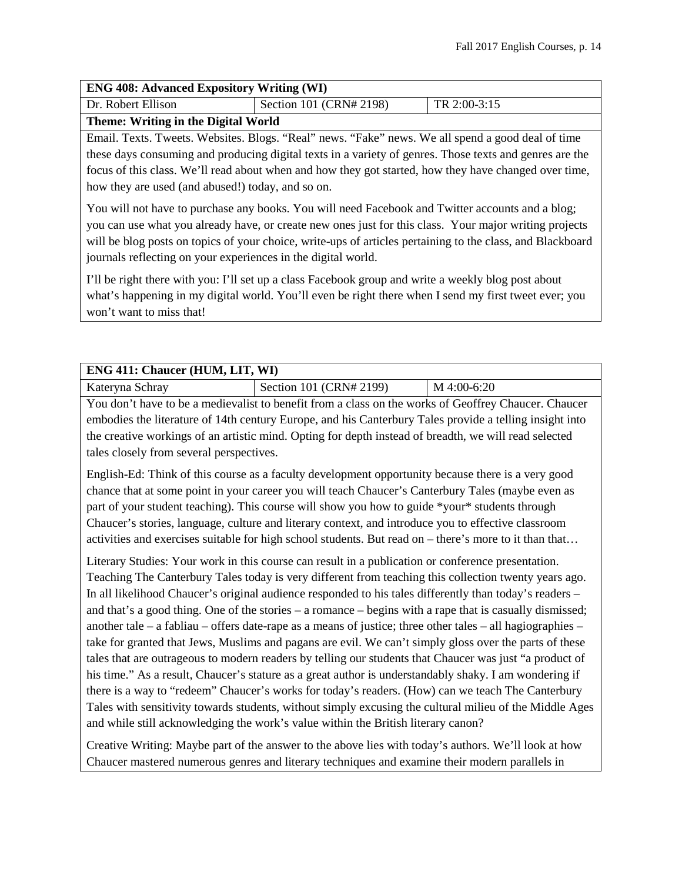#### **ENG 408: Advanced Expository Writing (WI)**

| Dr. Robert Ellison                  | Section 101 (CRN# 2198) | $\text{T}$ R 2:00-3:15 |
|-------------------------------------|-------------------------|------------------------|
| Theme: Writing in the Digital World |                         |                        |

Email. Texts. Tweets. Websites. Blogs. "Real" news. "Fake" news. We all spend a good deal of time these days consuming and producing digital texts in a variety of genres. Those texts and genres are the focus of this class. We'll read about when and how they got started, how they have changed over time, how they are used (and abused!) today, and so on.

You will not have to purchase any books. You will need Facebook and Twitter accounts and a blog; you can use what you already have, or create new ones just for this class. Your major writing projects will be blog posts on topics of your choice, write-ups of articles pertaining to the class, and Blackboard journals reflecting on your experiences in the digital world.

I'll be right there with you: I'll set up a class Facebook group and write a weekly blog post about what's happening in my digital world. You'll even be right there when I send my first tweet ever; you won't want to miss that!

| <b>ENG 411: Chaucer (HUM, LIT, WI)</b> |                         |               |
|----------------------------------------|-------------------------|---------------|
| Kateryna Schray                        | Section 101 (CRN# 2199) | $M$ 4:00-6:20 |

You don't have to be a medievalist to benefit from a class on the works of Geoffrey Chaucer. Chaucer embodies the literature of 14th century Europe, and his Canterbury Tales provide a telling insight into the creative workings of an artistic mind. Opting for depth instead of breadth, we will read selected tales closely from several perspectives.

English-Ed: Think of this course as a faculty development opportunity because there is a very good chance that at some point in your career you will teach Chaucer's Canterbury Tales (maybe even as part of your student teaching). This course will show you how to guide \*your\* students through Chaucer's stories, language, culture and literary context, and introduce you to effective classroom activities and exercises suitable for high school students. But read on – there's more to it than that…

Literary Studies: Your work in this course can result in a publication or conference presentation. Teaching The Canterbury Tales today is very different from teaching this collection twenty years ago. In all likelihood Chaucer's original audience responded to his tales differently than today's readers – and that's a good thing. One of the stories – a romance – begins with a rape that is casually dismissed; another tale – a fabliau – offers date-rape as a means of justice; three other tales – all hagiographies – take for granted that Jews, Muslims and pagans are evil. We can't simply gloss over the parts of these tales that are outrageous to modern readers by telling our students that Chaucer was just "a product of his time." As a result, Chaucer's stature as a great author is understandably shaky. I am wondering if there is a way to "redeem" Chaucer's works for today's readers. (How) can we teach The Canterbury Tales with sensitivity towards students, without simply excusing the cultural milieu of the Middle Ages and while still acknowledging the work's value within the British literary canon?

Creative Writing: Maybe part of the answer to the above lies with today's authors. We'll look at how Chaucer mastered numerous genres and literary techniques and examine their modern parallels in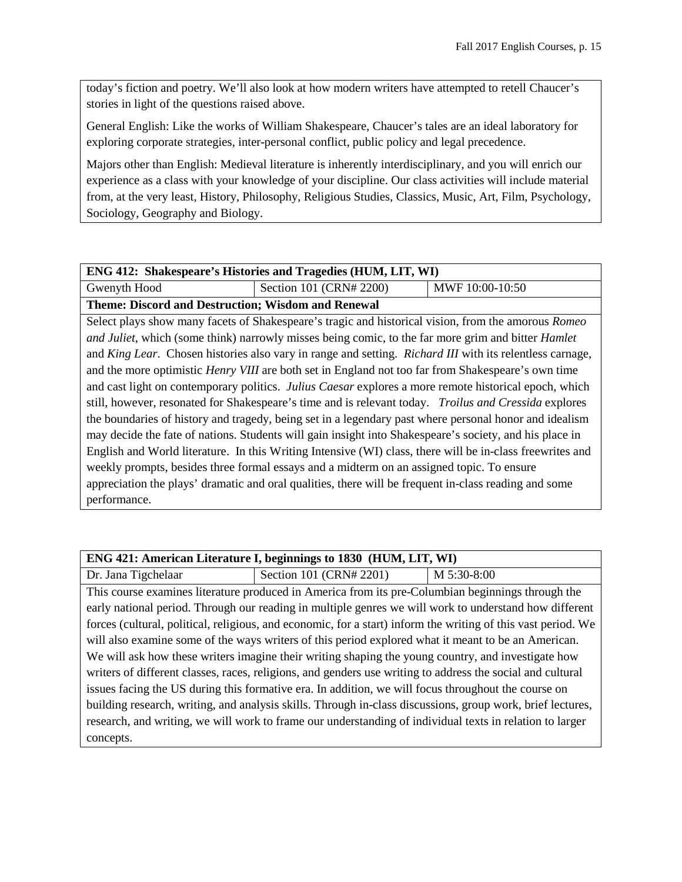today's fiction and poetry. We'll also look at how modern writers have attempted to retell Chaucer's stories in light of the questions raised above.

General English: Like the works of William Shakespeare, Chaucer's tales are an ideal laboratory for exploring corporate strategies, inter-personal conflict, public policy and legal precedence.

Majors other than English: Medieval literature is inherently interdisciplinary, and you will enrich our experience as a class with your knowledge of your discipline. Our class activities will include material from, at the very least, History, Philosophy, Religious Studies, Classics, Music, Art, Film, Psychology, Sociology, Geography and Biology.

| <b>ENG 412: Shakespeare's Histories and Tragedies (HUM, LIT, WI)</b> |  |
|----------------------------------------------------------------------|--|
|----------------------------------------------------------------------|--|

Gwenyth Hood Section 101 (CRN# 2200) MWF 10:00-10:50

**Theme: Discord and Destruction; Wisdom and Renewal**

Select plays show many facets of Shakespeare's tragic and historical vision, from the amorous *Romeo and Juliet*, which (some think) narrowly misses being comic, to the far more grim and bitter *Hamlet* and *King Lear*. Chosen histories also vary in range and setting. *Richard III* with its relentless carnage, and the more optimistic *Henry VIII* are both set in England not too far from Shakespeare's own time and cast light on contemporary politics. *Julius Caesar* explores a more remote historical epoch, which still, however, resonated for Shakespeare's time and is relevant today. *Troilus and Cressida* explores the boundaries of history and tragedy, being set in a legendary past where personal honor and idealism may decide the fate of nations. Students will gain insight into Shakespeare's society, and his place in English and World literature. In this Writing Intensive (WI) class, there will be in-class freewrites and weekly prompts, besides three formal essays and a midterm on an assigned topic. To ensure appreciation the plays' dramatic and oral qualities, there will be frequent in-class reading and some performance.

| ENG 421: American Literature I, beginnings to 1830 (HUM, LIT, WI)                                          |                                                                                                               |             |
|------------------------------------------------------------------------------------------------------------|---------------------------------------------------------------------------------------------------------------|-------------|
| Dr. Jana Tigchelaar                                                                                        | Section 101 (CRN# 2201)                                                                                       | M 5:30-8:00 |
|                                                                                                            | This course examines literature produced in America from its pre-Columbian beginnings through the             |             |
|                                                                                                            | early national period. Through our reading in multiple genres we will work to understand how different        |             |
|                                                                                                            | forces (cultural, political, religious, and economic, for a start) inform the writing of this vast period. We |             |
| will also examine some of the ways writers of this period explored what it meant to be an American.        |                                                                                                               |             |
| We will ask how these writers imagine their writing shaping the young country, and investigate how         |                                                                                                               |             |
| writers of different classes, races, religions, and genders use writing to address the social and cultural |                                                                                                               |             |
| issues facing the US during this formative era. In addition, we will focus throughout the course on        |                                                                                                               |             |
| building research, writing, and analysis skills. Through in-class discussions, group work, brief lectures, |                                                                                                               |             |
| research, and writing, we will work to frame our understanding of individual texts in relation to larger   |                                                                                                               |             |
| concepts.                                                                                                  |                                                                                                               |             |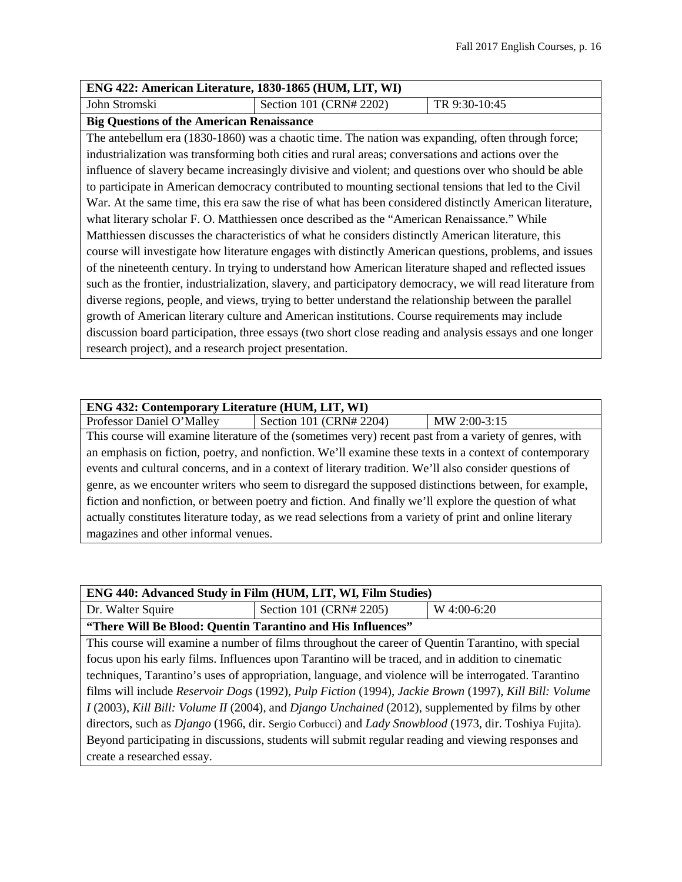| ENG 422: American Literature, 1830-1865 (HUM, LIT, WI) |                         |               |
|--------------------------------------------------------|-------------------------|---------------|
| John Stromski                                          | Section 101 (CRN# 2202) | TR 9:30-10:45 |

#### **Big Questions of the American Renaissance**

The antebellum era (1830-1860) was a chaotic time. The nation was expanding, often through force; industrialization was transforming both cities and rural areas; conversations and actions over the influence of slavery became increasingly divisive and violent; and questions over who should be able to participate in American democracy contributed to mounting sectional tensions that led to the Civil War. At the same time, this era saw the rise of what has been considered distinctly American literature, what literary scholar F. O. Matthiessen once described as the "American Renaissance." While Matthiessen discusses the characteristics of what he considers distinctly American literature, this course will investigate how literature engages with distinctly American questions, problems, and issues of the nineteenth century. In trying to understand how American literature shaped and reflected issues such as the frontier, industrialization, slavery, and participatory democracy, we will read literature from diverse regions, people, and views, trying to better understand the relationship between the parallel growth of American literary culture and American institutions. Course requirements may include discussion board participation, three essays (two short close reading and analysis essays and one longer research project), and a research project presentation.

## **ENG 432: Contemporary Literature (HUM, LIT, WI)**

Professor Daniel O'Malley Section 101 (CRN# 2204) MW 2:00-3:15 This course will examine literature of the (sometimes very) recent past from a variety of genres, with an emphasis on fiction, poetry, and nonfiction. We'll examine these texts in a context of contemporary events and cultural concerns, and in a context of literary tradition. We'll also consider questions of genre, as we encounter writers who seem to disregard the supposed distinctions between, for example, fiction and nonfiction, or between poetry and fiction. And finally we'll explore the question of what actually constitutes literature today, as we read selections from a variety of print and online literary magazines and other informal venues.

| ENG 440: Advanced Study in Film (HUM, LIT, WI, Film Studies)                                                         |                                                                                                     |             |
|----------------------------------------------------------------------------------------------------------------------|-----------------------------------------------------------------------------------------------------|-------------|
| Dr. Walter Squire                                                                                                    | Section 101 (CRN# 2205)                                                                             | W 4:00-6:20 |
| "There Will Be Blood: Quentin Tarantino and His Influences"                                                          |                                                                                                     |             |
|                                                                                                                      | This course will examine a number of films throughout the career of Quentin Tarantino, with special |             |
| focus upon his early films. Influences upon Tarantino will be traced, and in addition to cinematic                   |                                                                                                     |             |
| techniques, Tarantino's uses of appropriation, language, and violence will be interrogated. Tarantino                |                                                                                                     |             |
| films will include Reservoir Dogs (1992), Pulp Fiction (1994), Jackie Brown (1997), Kill Bill: Volume                |                                                                                                     |             |
| I (2003), Kill Bill: Volume II (2004), and Django Unchained (2012), supplemented by films by other                   |                                                                                                     |             |
| directors, such as <i>Django</i> (1966, dir. Sergio Corbucci) and <i>Lady Snowblood</i> (1973, dir. Toshiya Fujita). |                                                                                                     |             |
| Beyond participating in discussions, students will submit regular reading and viewing responses and                  |                                                                                                     |             |
| create a researched essay.                                                                                           |                                                                                                     |             |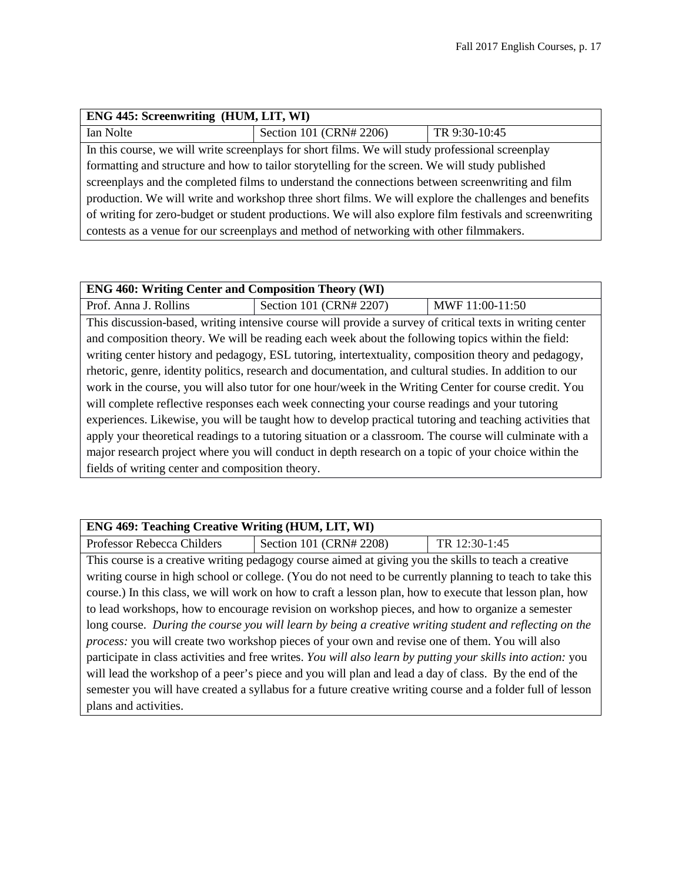| <b>ENG 445: Screenwriting (HUM, LIT, WI)</b>                                                             |                                                                                                  |               |
|----------------------------------------------------------------------------------------------------------|--------------------------------------------------------------------------------------------------|---------------|
| Ian Nolte                                                                                                | Section 101 (CRN# 2206)                                                                          | TR 9:30-10:45 |
|                                                                                                          | In this course, we will write screenplays for short films. We will study professional screenplay |               |
| formatting and structure and how to tailor storytelling for the screen. We will study published          |                                                                                                  |               |
| screenplays and the completed films to understand the connections between screenwriting and film         |                                                                                                  |               |
| production. We will write and workshop three short films. We will explore the challenges and benefits    |                                                                                                  |               |
| of writing for zero-budget or student productions. We will also explore film festivals and screenwriting |                                                                                                  |               |
| contests as a venue for our screenplays and method of networking with other filmmakers.                  |                                                                                                  |               |

| <b>ENG 460: Writing Center and Composition Theory (WI)</b>                                                |                         |                 |
|-----------------------------------------------------------------------------------------------------------|-------------------------|-----------------|
| Prof. Anna J. Rollins                                                                                     | Section 101 (CRN# 2207) | MWF 11:00-11:50 |
| This discussion-based, writing intensive course will provide a survey of critical texts in writing center |                         |                 |
| and composition theory. We will be reading each week about the following topics within the field:         |                         |                 |
| writing center history and pedagogy, ESL tutoring, intertextuality, composition theory and pedagogy,      |                         |                 |
| rhetoric, genre, identity politics, research and documentation, and cultural studies. In addition to our  |                         |                 |
| work in the course, you will also tutor for one hour/week in the Writing Center for course credit. You    |                         |                 |
| will complete reflective responses each week connecting your course readings and your tutoring            |                         |                 |
| experiences. Likewise, you will be taught how to develop practical tutoring and teaching activities that  |                         |                 |
| apply your theoretical readings to a tutoring situation or a classroom. The course will culminate with a  |                         |                 |
| major research project where you will conduct in depth research on a topic of your choice within the      |                         |                 |
| fields of writing center and composition theory.                                                          |                         |                 |

| <b>ENG 469: Teaching Creative Writing (HUM, LIT, WI)</b>                                                  |                         |               |
|-----------------------------------------------------------------------------------------------------------|-------------------------|---------------|
| Professor Rebecca Childers                                                                                | Section 101 (CRN# 2208) | TR 12:30-1:45 |
| This course is a creative writing pedagogy course aimed at giving you the skills to teach a creative      |                         |               |
| writing course in high school or college. (You do not need to be currently planning to teach to take this |                         |               |

course.) In this class, we will work on how to craft a lesson plan, how to execute that lesson plan, how to lead workshops, how to encourage revision on workshop pieces, and how to organize a semester long course. *During the course you will learn by being a creative writing student and reflecting on the process:* you will create two workshop pieces of your own and revise one of them. You will also participate in class activities and free writes. *You will also learn by putting your skills into action:* you will lead the workshop of a peer's piece and you will plan and lead a day of class. By the end of the semester you will have created a syllabus for a future creative writing course and a folder full of lesson plans and activities.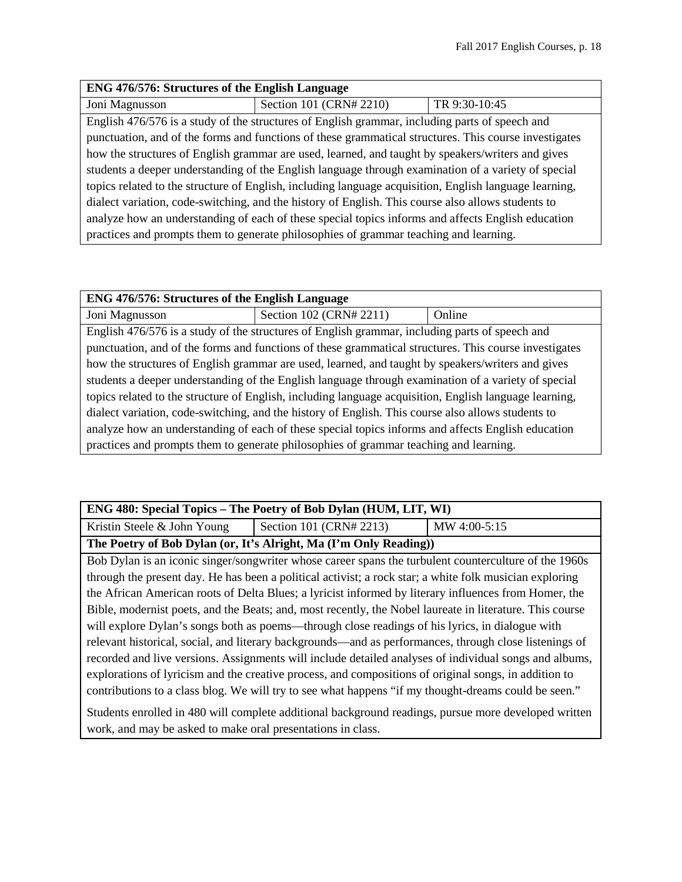| ENG 476/576: Structures of the English Language                                                        |                         |               |
|--------------------------------------------------------------------------------------------------------|-------------------------|---------------|
| Joni Magnusson                                                                                         | Section 101 (CRN# 2210) | TR 9:30-10:45 |
| English 476/576 is a study of the structures of English grammar, including parts of speech and         |                         |               |
| punctuation, and of the forms and functions of these grammatical structures. This course investigates  |                         |               |
| how the structures of English grammar are used, learned, and taught by speakers/writers and gives      |                         |               |
| students a deeper understanding of the English language through examination of a variety of special    |                         |               |
| topics related to the structure of English, including language acquisition, English language learning, |                         |               |
| dialect variation, code-switching, and the history of English. This course also allows students to     |                         |               |
| analyze how an understanding of each of these special topics informs and affects English education     |                         |               |
| practices and prompts them to generate philosophies of grammar teaching and learning.                  |                         |               |

| ENG 476/576: Structures of the English Language                                                        |                         |        |
|--------------------------------------------------------------------------------------------------------|-------------------------|--------|
| Joni Magnusson                                                                                         | Section 102 (CRN# 2211) | Online |
| English 476/576 is a study of the structures of English grammar, including parts of speech and         |                         |        |
| punctuation, and of the forms and functions of these grammatical structures. This course investigates  |                         |        |
| how the structures of English grammar are used, learned, and taught by speakers/writers and gives      |                         |        |
| students a deeper understanding of the English language through examination of a variety of special    |                         |        |
| topics related to the structure of English, including language acquisition, English language learning, |                         |        |
| dialect variation, code-switching, and the history of English. This course also allows students to     |                         |        |
| analyze how an understanding of each of these special topics informs and affects English education     |                         |        |
| practices and prompts them to generate philosophies of grammar teaching and learning.                  |                         |        |

## **ENG 480: Special Topics – The Poetry of Bob Dylan (HUM, LIT, WI)** Kristin Steele & John Young Section 101 (CRN# 2213) MW 4:00-5:15 **The Poetry of Bob Dylan (or, It's Alright, Ma (I'm Only Reading))**

Bob Dylan is an iconic singer/songwriter whose career spans the turbulent counterculture of the 1960s through the present day. He has been a political activist; a rock star; a white folk musician exploring the African American roots of Delta Blues; a lyricist informed by literary influences from Homer, the Bible, modernist poets, and the Beats; and, most recently, the Nobel laureate in literature. This course will explore Dylan's songs both as poems—through close readings of his lyrics, in dialogue with relevant historical, social, and literary backgrounds—and as performances, through close listenings of recorded and live versions. Assignments will include detailed analyses of individual songs and albums, explorations of lyricism and the creative process, and compositions of original songs, in addition to contributions to a class blog. We will try to see what happens "if my thought-dreams could be seen."

Students enrolled in 480 will complete additional background readings, pursue more developed written work, and may be asked to make oral presentations in class.